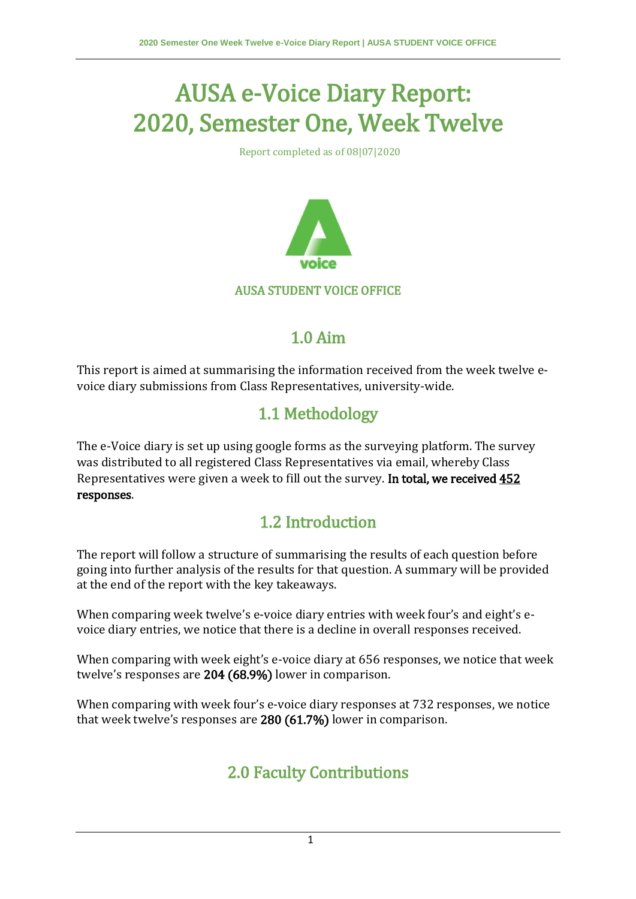# AUSA e-Voice Diary Report: 2020, Semester One, Week Twelve

Report completed as of 08|07|2020



#### AUSA STUDENT VOICE OFFICE

#### 1.0 Aim

This report is aimed at summarising the information received from the week twelve evoice diary submissions from Class Representatives, university-wide.

### 1.1 Methodology

The e-Voice diary is set up using google forms as the surveying platform. The survey was distributed to all registered Class Representatives via email, whereby Class Representatives were given a week to fill out the survey. In total, we received 452 responses.

#### 1.2 Introduction

The report will follow a structure of summarising the results of each question before going into further analysis of the results for that question. A summary will be provided at the end of the report with the key takeaways.

When comparing week twelve's e-voice diary entries with week four's and eight's evoice diary entries, we notice that there is a decline in overall responses received.

When comparing with week eight's e-voice diary at 656 responses, we notice that week twelve's responses are 204 (68.9%) lower in comparison.

When comparing with week four's e-voice diary responses at 732 responses, we notice that week twelve's responses are 280 (61.7%) lower in comparison.

## 2.0 Faculty Contributions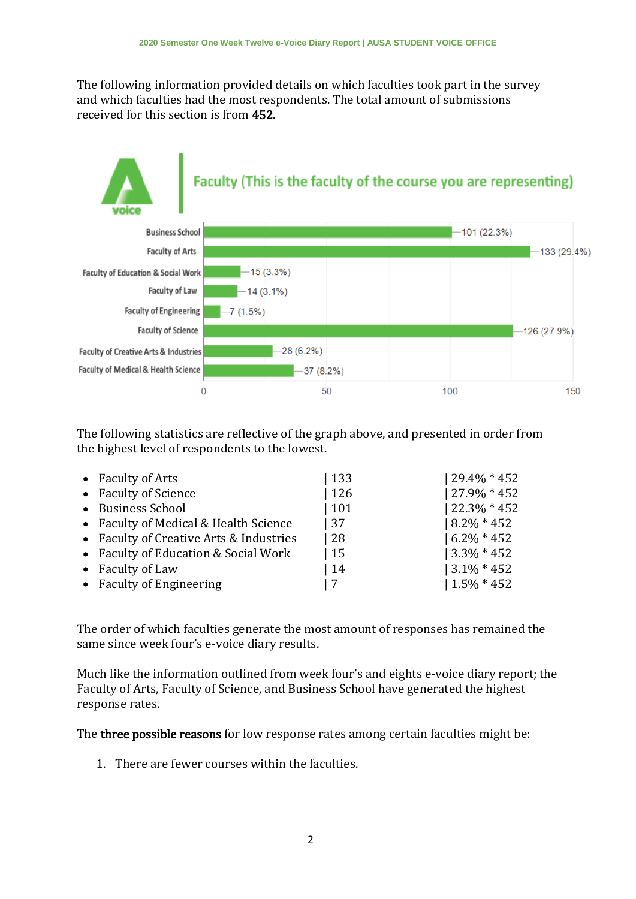The following information provided details on which faculties took part in the survey and which faculties had the most respondents. The total amount of submissions received for this section is from 452.



The following statistics are reflective of the graph above, and presented in order from the highest level of respondents to the lowest.

| • Faculty of Arts                       | 133 | $129.4\% * 452$ |
|-----------------------------------------|-----|-----------------|
| • Faculty of Science                    | 126 | $127.9\% * 452$ |
| • Business School                       | 101 | $122.3\% * 452$ |
| • Faculty of Medical & Health Science   | 37  | $18.2\% * 452$  |
| • Faculty of Creative Arts & Industries | -28 | $16.2\% * 452$  |
| • Faculty of Education & Social Work    | 15  | $13.3\% * 452$  |
| • Faculty of Law                        | 14  | $13.1\% * 452$  |
| • Faculty of Engineering                |     | $1.5\% * 452$   |

The order of which faculties generate the most amount of responses has remained the same since week four's e-voice diary results.

Much like the information outlined from week four's and eights e-voice diary report; the Faculty of Arts, Faculty of Science, and Business School have generated the highest response rates.

The three possible reasons for low response rates among certain faculties might be:

1. There are fewer courses within the faculties.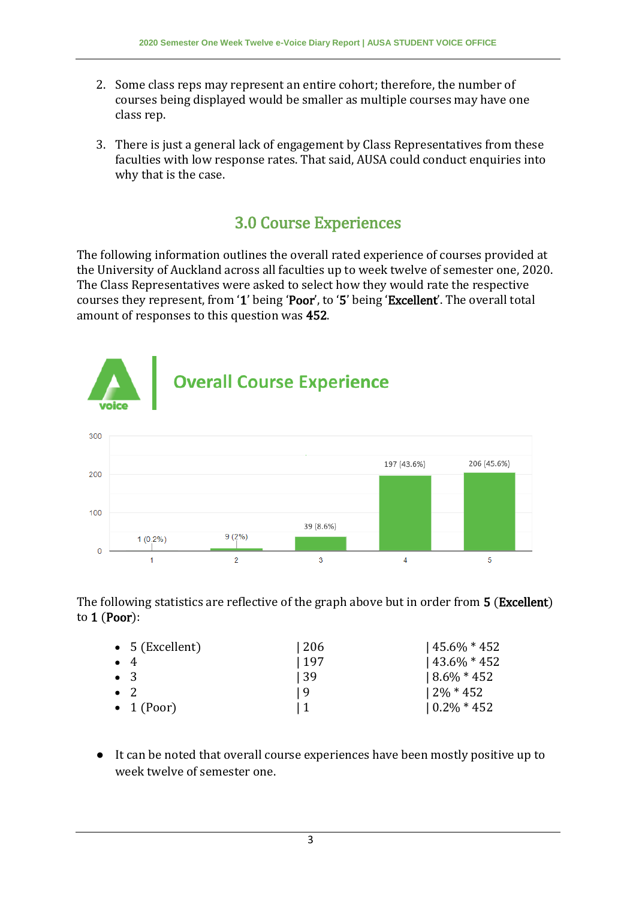- 2. Some class reps may represent an entire cohort; therefore, the number of courses being displayed would be smaller as multiple courses may have one class rep.
- 3. There is just a general lack of engagement by Class Representatives from these faculties with low response rates. That said, AUSA could conduct enquiries into why that is the case.

#### 3.0 Course Experiences

The following information outlines the overall rated experience of courses provided at the University of Auckland across all faculties up to week twelve of semester one, 2020. The Class Representatives were asked to select how they would rate the respective courses they represent, from '1' being 'Poor', to '5' being 'Excellent'. The overall total amount of responses to this question was 452.



The following statistics are reflective of the graph above but in order from 5 (Excellent) to 1 (Poor):

| • $5$ (Excellent)  | 206  | $145.6\% * 452$ |
|--------------------|------|-----------------|
| $\bullet$ 4        | 197  | $143.6\% * 452$ |
| $\bullet$ 3        | l 39 | $18.6\% * 452$  |
| $\bullet$ 2.       | 19   | $12\% * 452$    |
| $\bullet$ 1 (Poor) |      | $10.2\% * 452$  |

● It can be noted that overall course experiences have been mostly positive up to week twelve of semester one.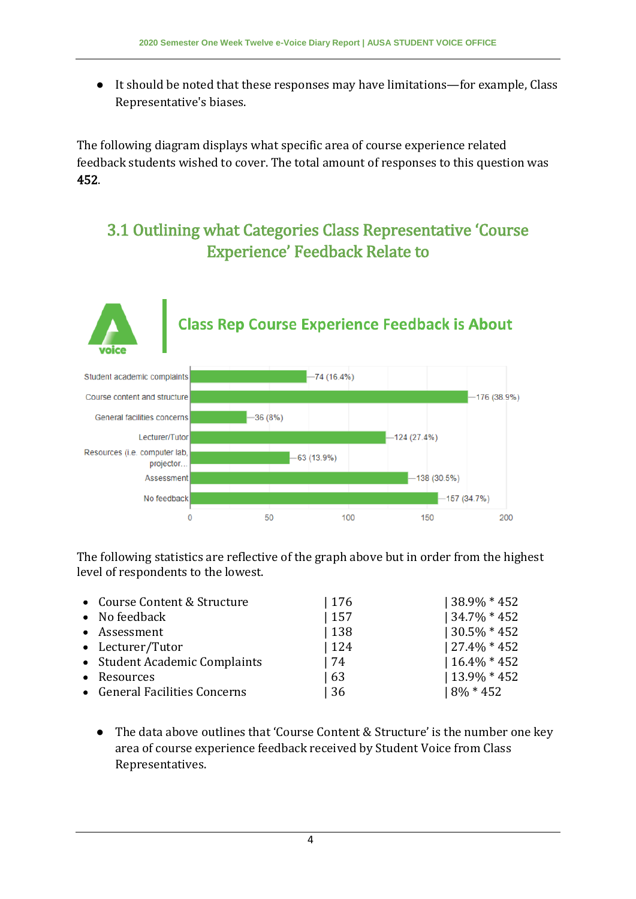● It should be noted that these responses may have limitations—for example, Class Representative's biases.

The following diagram displays what specific area of course experience related feedback students wished to cover. The total amount of responses to this question was 452.

#### 3.1 Outlining what Categories Class Representative 'Course Experience' Feedback Relate to



The following statistics are reflective of the graph above but in order from the highest level of respondents to the lowest.

| • Course Content & Structure  | 176 | 38.9% * 452     |
|-------------------------------|-----|-----------------|
| • No feedback                 | 157 | $134.7\% * 452$ |
| • Assessment                  | 138 | $130.5\% * 452$ |
| • Lecturer/Tutor              | 124 | $127.4\% * 452$ |
| • Student Academic Complaints | 74  | $16.4\% * 452$  |
| • Resources                   | 63  | $13.9\% * 452$  |
| • General Facilities Concerns | 36  | $8\% * 452$     |

● The data above outlines that 'Course Content & Structure' is the number one key area of course experience feedback received by Student Voice from Class Representatives.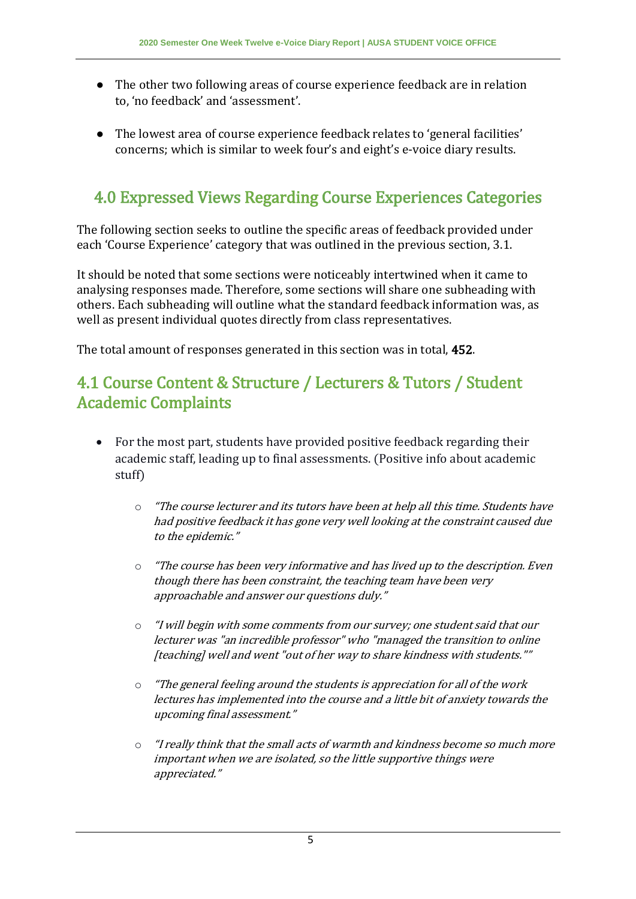- The other two following areas of course experience feedback are in relation to, 'no feedback' and 'assessment'.
- The lowest area of course experience feedback relates to 'general facilities' concerns; which is similar to week four's and eight's e-voice diary results.

#### 4.0 Expressed Views Regarding Course Experiences Categories

The following section seeks to outline the specific areas of feedback provided under each 'Course Experience' category that was outlined in the previous section, 3.1.

It should be noted that some sections were noticeably intertwined when it came to analysing responses made. Therefore, some sections will share one subheading with others. Each subheading will outline what the standard feedback information was, as well as present individual quotes directly from class representatives.

The total amount of responses generated in this section was in total, 452.

#### 4.1 Course Content & Structure / Lecturers & Tutors / Student Academic Complaints

- For the most part, students have provided positive feedback regarding their academic staff, leading up to final assessments. (Positive info about academic stuff)
	- $\circ$  "The course lecturer and its tutors have been at help all this time. Students have had positive feedback it has gone very well looking at the constraint caused due to the epidemic."
	- $\circ$  "The course has been very informative and has lived up to the description. Even though there has been constraint, the teaching team have been very approachable and answer our questions duly."
	- o "I will begin with some comments from our survey; one student said that our lecturer was "an incredible professor" who "managed the transition to online [teaching] well and went "out of her way to share kindness with students.""
	- o "The general feeling around the students is appreciation for all of the work lectures has implemented into the course and a little bit of anxiety towards the upcoming final assessment."
	- o "I really think that the small acts of warmth and kindness become so much more important when we are isolated, so the little supportive things were appreciated."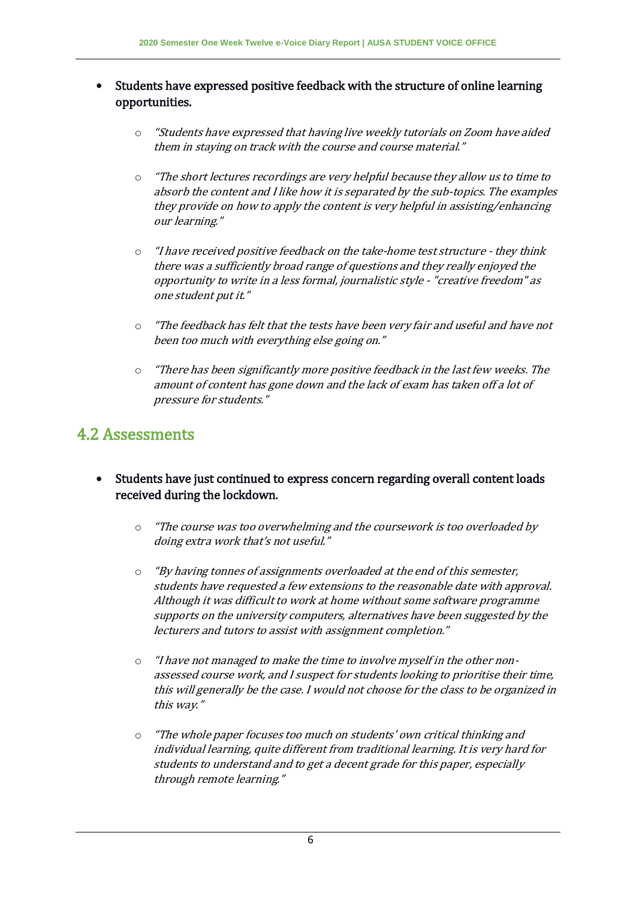- Students have expressed positive feedback with the structure of online learning opportunities.
	- o "Students have expressed that having live weekly tutorials on Zoom have aided them in staying on track with the course and course material."
	- o "The short lectures recordings are very helpful because they allow us to time to absorb the content and I like how it is separated by the sub-topics. The examples they provide on how to apply the content is very helpful in assisting/enhancing our learning."
	- "I have received positive feedback on the take-home test structure they think there was a sufficiently broad range of questions and they really enjoyed the opportunity to write in a less formal, journalistic style - "creative freedom" as one student put it."
	- o "The feedback has felt that the tests have been very fair and useful and have not been too much with everything else going on."
	- $\circ$  "There has been significantly more positive feedback in the last few weeks. The amount of content has gone down and the lack of exam has taken off a lot of pressure for students."

#### 4.2 Assessments

- Students have just continued to express concern regarding overall content loads received during the lockdown.
	- $\circ$  "The course was too overwhelming and the coursework is too overloaded by doing extra work that's not useful."
	- o "By having tonnes of assignments overloaded at the end of this semester, students have requested a few extensions to the reasonable date with approval. Although it was difficult to work at home without some software programme supports on the university computers, alternatives have been suggested by the lecturers and tutors to assist with assignment completion."
	- o "I have not managed to make the time to involve myself in the other nonassessed course work, and I suspect for students looking to prioritise their time, this will generally be the case. I would not choose for the class to be organized in this way."
	- o "The whole paper focuses too much on students' own critical thinking and individual learning, quite different from traditional learning. It is very hard for students to understand and to get a decent grade for this paper, especially through remote learning."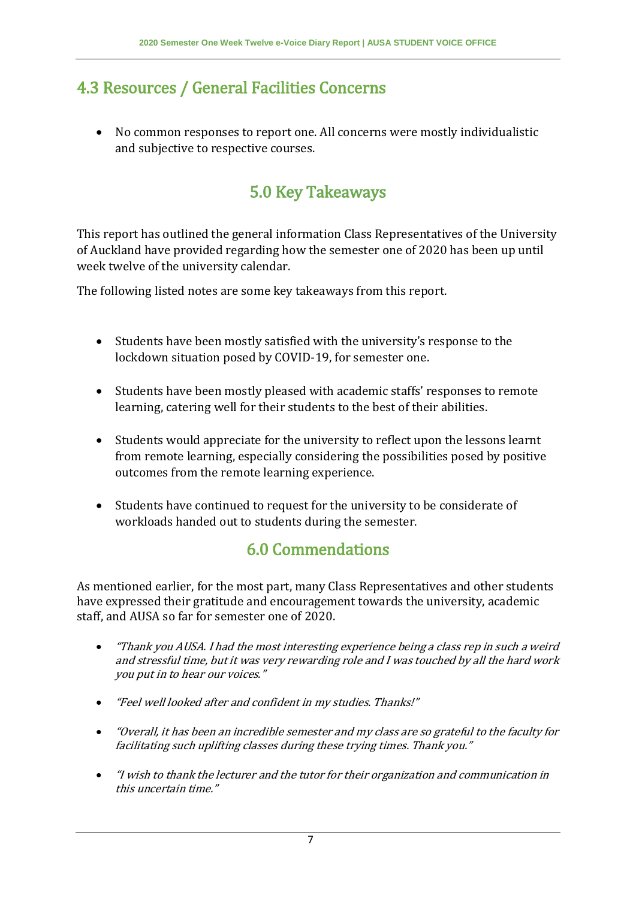### 4.3 Resources / General Facilities Concerns

 No common responses to report one. All concerns were mostly individualistic and subjective to respective courses.

# 5.0 Key Takeaways

This report has outlined the general information Class Representatives of the University of Auckland have provided regarding how the semester one of 2020 has been up until week twelve of the university calendar.

The following listed notes are some key takeaways from this report.

- Students have been mostly satisfied with the university's response to the lockdown situation posed by COVID-19, for semester one.
- Students have been mostly pleased with academic staffs' responses to remote learning, catering well for their students to the best of their abilities.
- Students would appreciate for the university to reflect upon the lessons learnt from remote learning, especially considering the possibilities posed by positive outcomes from the remote learning experience.
- Students have continued to request for the university to be considerate of workloads handed out to students during the semester.

#### 6.0 Commendations

As mentioned earlier, for the most part, many Class Representatives and other students have expressed their gratitude and encouragement towards the university, academic staff, and AUSA so far for semester one of 2020.

- "Thank you AUSA. I had the most interesting experience being a class rep in such a weird and stressful time, but it was very rewarding role and I was touched by all the hard work you put in to hear our voices."
- "Feel well looked after and confident in my studies. Thanks!"
- "Overall, it has been an incredible semester and my class are so grateful to the faculty for facilitating such uplifting classes during these trying times. Thank you."
- "I wish to thank the lecturer and the tutor for their organization and communication in this uncertain time."